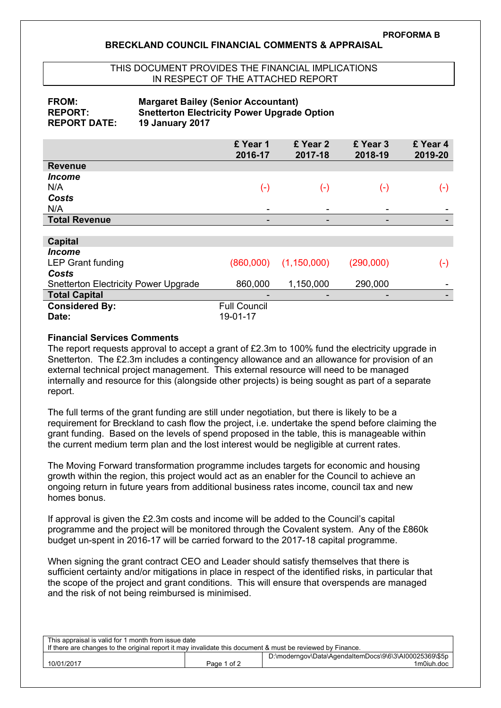## **BRECKLAND COUNCIL FINANCIAL COMMENTS & APPRAISAL**

## THIS DOCUMENT PROVIDES THE FINANCIAL IMPLICATIONS IN RESPECT OF THE ATTACHED REPORT

**FROM: Margaret Bailey (Senior Accountant)**

| FRUM:<br><b>REPORT:</b><br><b>REPORT DATE:</b> | <b>Margaret Balley (Senior Accountant)</b><br><b>Snetterton Electricity Power Upgrade Option</b><br><b>19 January 2017</b> |                          |                     |                     |  |
|------------------------------------------------|----------------------------------------------------------------------------------------------------------------------------|--------------------------|---------------------|---------------------|--|
|                                                | £ Year 1<br>2016-17                                                                                                        | £ Year 2<br>2017-18      | £ Year 3<br>2018-19 | £ Year 4<br>2019-20 |  |
| <b>Revenue</b>                                 |                                                                                                                            |                          |                     |                     |  |
| <i><u><b>Income</b></u></i>                    |                                                                                                                            |                          |                     |                     |  |
| N/A                                            | $(\textnormal{-})$                                                                                                         | $(\cdot)$                | $(\cdot)$           | $(\hbox{-})$        |  |
| Costs                                          |                                                                                                                            |                          |                     |                     |  |
| N/A                                            | ۰                                                                                                                          | ۰                        | -                   |                     |  |
| <b>Total Revenue</b>                           |                                                                                                                            | $\overline{\phantom{0}}$ | -                   |                     |  |
|                                                |                                                                                                                            |                          |                     |                     |  |
| <b>Capital</b>                                 |                                                                                                                            |                          |                     |                     |  |
| <i><b>Income</b></i>                           |                                                                                                                            |                          |                     |                     |  |
| <b>LEP Grant funding</b>                       | (860,000)                                                                                                                  | (1, 150, 000)            | (290,000)           | $(\textnormal{-})$  |  |
| Costs                                          |                                                                                                                            |                          |                     |                     |  |
| <b>Snetterton Electricity Power Upgrade</b>    | 860,000                                                                                                                    | 1,150,000                | 290,000             | ۰                   |  |

**Financial Services Comments**

**Considered By:** Full Council **Date:** 19-01-17

**Total Capital** 

The report requests approval to accept a grant of £2.3m to 100% fund the electricity upgrade in Snetterton. The £2.3m includes a contingency allowance and an allowance for provision of an external technical project management. This external resource will need to be managed internally and resource for this (alongside other projects) is being sought as part of a separate report.

The full terms of the grant funding are still under negotiation, but there is likely to be a requirement for Breckland to cash flow the project, i.e. undertake the spend before claiming the grant funding. Based on the levels of spend proposed in the table, this is manageable within the current medium term plan and the lost interest would be negligible at current rates.

The Moving Forward transformation programme includes targets for economic and housing growth within the region, this project would act as an enabler for the Council to achieve an ongoing return in future years from additional business rates income, council tax and new homes bonus.

If approval is given the £2.3m costs and income will be added to the Council's capital programme and the project will be monitored through the Covalent system. Any of the £860k budget un-spent in 2016-17 will be carried forward to the 2017-18 capital programme.

When signing the grant contract CEO and Leader should satisfy themselves that there is sufficient certainty and/or mitigations in place in respect of the identified risks, in particular that the scope of the project and grant conditions. This will ensure that overspends are managed and the risk of not being reimbursed is minimised.

| This appraisal is valid for 1 month from issue date                                                        |             |                                                        |  |  |  |
|------------------------------------------------------------------------------------------------------------|-------------|--------------------------------------------------------|--|--|--|
| If there are changes to the original report it may invalidate this document & must be reviewed by Finance. |             |                                                        |  |  |  |
|                                                                                                            |             | D:\moderngov\Data\AgendaItemDocs\9\6\3\AI00025369\\$5p |  |  |  |
| 10/01/2017                                                                                                 | Page 1 of 2 | 1m0iuh.doc                                             |  |  |  |
|                                                                                                            |             |                                                        |  |  |  |